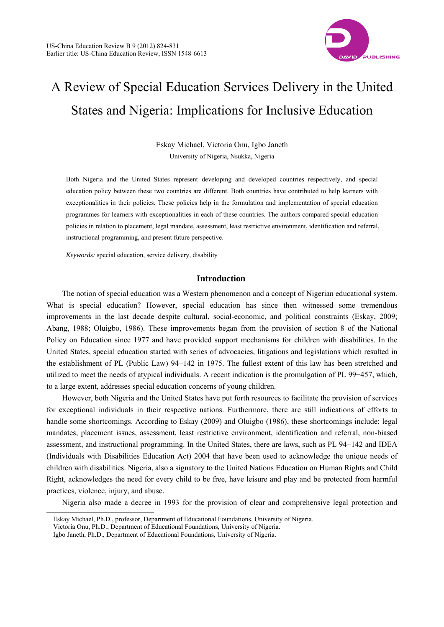

# A Review of Special Education Services Delivery in the United States and Nigeria: Implications for Inclusive Education

Eskay Michael, Victoria Onu, Igbo Janeth University of Nigeria, Nsukka, Nigeria

Both Nigeria and the United States represent developing and developed countries respectively, and special education policy between these two countries are different. Both countries have contributed to help learners with exceptionalities in their policies. These policies help in the formulation and implementation of special education programmes for learners with exceptionalities in each of these countries. The authors compared special education policies in relation to placement, legal mandate, assessment, least restrictive environment, identification and referral, instructional programming, and present future perspective.

*Keywords:* special education, service delivery, disability

## **Introduction**

The notion of special education was a Western phenomenon and a concept of Nigerian educational system. What is special education? However, special education has since then witnessed some tremendous improvements in the last decade despite cultural, social-economic, and political constraints (Eskay, 2009; Abang, 1988; Oluigbo, 1986). These improvements began from the provision of section 8 of the National Policy on Education since 1977 and have provided support mechanisms for children with disabilities. In the United States, special education started with series of advocacies, litigations and legislations which resulted in the establishment of PL (Public Law) 94−142 in 1975. The fullest extent of this law has been stretched and utilized to meet the needs of atypical individuals. A recent indication is the promulgation of PL 99−457, which, to a large extent, addresses special education concerns of young children.

However, both Nigeria and the United States have put forth resources to facilitate the provision of services for exceptional individuals in their respective nations. Furthermore, there are still indications of efforts to handle some shortcomings. According to Eskay (2009) and Oluigbo (1986), these shortcomings include: legal mandates, placement issues, assessment, least restrictive environment, identification and referral, non-biased assessment, and instructional programming. In the United States, there are laws, such as PL 94−142 and IDEA (Individuals with Disabilities Education Act) 2004 that have been used to acknowledge the unique needs of children with disabilities. Nigeria, also a signatory to the United Nations Education on Human Rights and Child Right, acknowledges the need for every child to be free, have leisure and play and be protected from harmful practices, violence, injury, and abuse.

Nigeria also made a decree in 1993 for the provision of clear and comprehensive legal protection and

 $\overline{a}$ 

Eskay Michael, Ph.D., professor, Department of Educational Foundations, University of Nigeria.

Victoria Onu, Ph.D., Department of Educational Foundations, University of Nigeria.

Igbo Janeth, Ph.D., Department of Educational Foundations, University of Nigeria.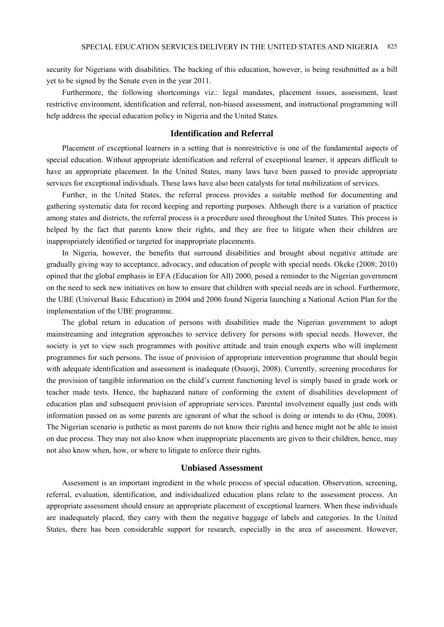security for Nigerians with disabilities. The backing of this education, however, is being resubmitted as a bill yet to be signed by the Senate even in the year 2011.

Furthermore, the following shortcomings viz.: legal mandates, placement issues, assessment, least restrictive environment, identification and referral, non-biased assessment, and instructional programming will help address the special education policy in Nigeria and the United States.

## **Identification and Referral**

Placement of exceptional learners in a setting that is nonrestrictive is one of the fundamental aspects of special education. Without appropriate identification and referral of exceptional learner, it appears difficult to have an appropriate placement. In the United States, many laws have been passed to provide appropriate services for exceptional individuals. These laws have also been catalysts for total mobilization of services.

Further, in the United States, the referral process provides a suitable method for documenting and gathering systematic data for record keeping and reporting purposes. Although there is a variation of practice among states and districts, the referral process is a procedure used throughout the United States. This process is helped by the fact that parents know their rights, and they are free to litigate when their children are inappropriately identified or targeted for inappropriate placements.

In Nigeria, however, the benefits that surround disabilities and brought about negative attitude are gradually giving way to acceptance, advocacy, and education of people with special needs. Okeke (2008; 2010) opined that the global emphasis in EFA (Education for All) 2000, posed a reminder to the Nigerian government on the need to seek new initiatives on how to ensure that children with special needs are in school. Furthermore, the UBE (Universal Basic Education) in 2004 and 2006 found Nigeria launching a National Action Plan for the implementation of the UBE programme.

The global return in education of persons with disabilities made the Nigerian government to adopt mainstreaming and integration approaches to service delivery for persons with special needs. However, the society is yet to view such programmes with positive attitude and train enough experts who will implement programmes for such persons. The issue of provision of appropriate intervention programme that should begin with adequate identification and assessment is inadequate (Osuorji, 2008). Currently, screening procedures for the provision of tangible information on the child's current functioning level is simply based in grade work or teacher made tests. Hence, the haphazard nature of conforming the extent of disabilities development of education plan and subsequent provision of appropriate services. Parental involvement equally just ends with information passed on as some parents are ignorant of what the school is doing or intends to do (Onu, 2008). The Nigerian scenario is pathetic as most parents do not know their rights and hence might not be able to insist on due process. They may not also know when inappropriate placements are given to their children, hence, may not also know when, how, or where to litigate to enforce their rights.

#### **Unbiased Assessment**

Assessment is an important ingredient in the whole process of special education. Observation, screening, referral, evaluation, identification, and individualized education plans relate to the assessment process. An appropriate assessment should ensure an appropriate placement of exceptional learners. When these individuals are inadequately placed, they carry with them the negative baggage of labels and categories. In the United States, there has been considerable support for research, especially in the area of assessment. However,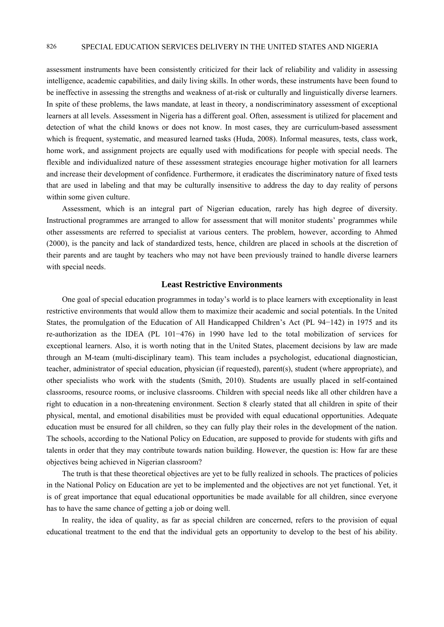# 826 SPECIAL EDUCATION SERVICES DELIVERY IN THE UNITED STATES AND NIGERIA

assessment instruments have been consistently criticized for their lack of reliability and validity in assessing intelligence, academic capabilities, and daily living skills. In other words, these instruments have been found to be ineffective in assessing the strengths and weakness of at-risk or culturally and linguistically diverse learners. In spite of these problems, the laws mandate, at least in theory, a nondiscriminatory assessment of exceptional learners at all levels. Assessment in Nigeria has a different goal. Often, assessment is utilized for placement and detection of what the child knows or does not know. In most cases, they are curriculum-based assessment which is frequent, systematic, and measured learned tasks (Huda, 2008). Informal measures, tests, class work, home work, and assignment projects are equally used with modifications for people with special needs. The flexible and individualized nature of these assessment strategies encourage higher motivation for all learners and increase their development of confidence. Furthermore, it eradicates the discriminatory nature of fixed tests that are used in labeling and that may be culturally insensitive to address the day to day reality of persons within some given culture.

Assessment, which is an integral part of Nigerian education, rarely has high degree of diversity. Instructional programmes are arranged to allow for assessment that will monitor students' programmes while other assessments are referred to specialist at various centers. The problem, however, according to Ahmed (2000), is the pancity and lack of standardized tests, hence, children are placed in schools at the discretion of their parents and are taught by teachers who may not have been previously trained to handle diverse learners with special needs.

## **Least Restrictive Environments**

One goal of special education programmes in today's world is to place learners with exceptionality in least restrictive environments that would allow them to maximize their academic and social potentials. In the United States, the promulgation of the Education of All Handicapped Children's Act (PL 94−142) in 1975 and its re-authorization as the IDEA (PL 101−476) in 1990 have led to the total mobilization of services for exceptional learners. Also, it is worth noting that in the United States, placement decisions by law are made through an M-team (multi-disciplinary team). This team includes a psychologist, educational diagnostician, teacher, administrator of special education, physician (if requested), parent(s), student (where appropriate), and other specialists who work with the students (Smith, 2010). Students are usually placed in self-contained classrooms, resource rooms, or inclusive classrooms. Children with special needs like all other children have a right to education in a non-threatening environment. Section 8 clearly stated that all children in spite of their physical, mental, and emotional disabilities must be provided with equal educational opportunities. Adequate education must be ensured for all children, so they can fully play their roles in the development of the nation. The schools, according to the National Policy on Education, are supposed to provide for students with gifts and talents in order that they may contribute towards nation building. However, the question is: How far are these objectives being achieved in Nigerian classroom?

The truth is that these theoretical objectives are yet to be fully realized in schools. The practices of policies in the National Policy on Education are yet to be implemented and the objectives are not yet functional. Yet, it is of great importance that equal educational opportunities be made available for all children, since everyone has to have the same chance of getting a job or doing well.

In reality, the idea of quality, as far as special children are concerned, refers to the provision of equal educational treatment to the end that the individual gets an opportunity to develop to the best of his ability.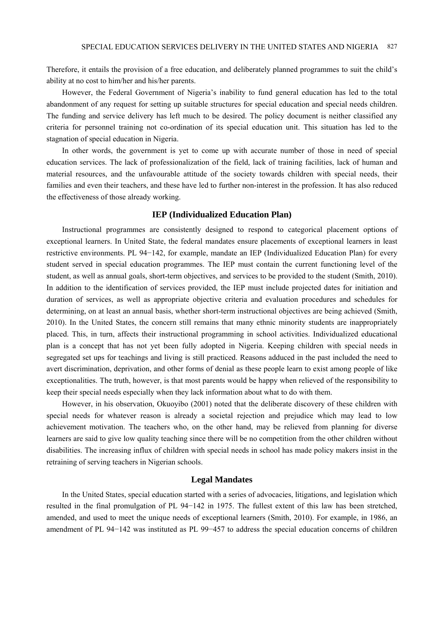Therefore, it entails the provision of a free education, and deliberately planned programmes to suit the child's ability at no cost to him/her and his/her parents.

However, the Federal Government of Nigeria's inability to fund general education has led to the total abandonment of any request for setting up suitable structures for special education and special needs children. The funding and service delivery has left much to be desired. The policy document is neither classified any criteria for personnel training not co-ordination of its special education unit. This situation has led to the stagnation of special education in Nigeria.

In other words, the government is yet to come up with accurate number of those in need of special education services. The lack of professionalization of the field, lack of training facilities, lack of human and material resources, and the unfavourable attitude of the society towards children with special needs, their families and even their teachers, and these have led to further non-interest in the profession. It has also reduced the effectiveness of those already working.

#### **IEP (Individualized Education Plan)**

Instructional programmes are consistently designed to respond to categorical placement options of exceptional learners. In United State, the federal mandates ensure placements of exceptional learners in least restrictive environments. PL 94−142, for example, mandate an IEP (Individualized Education Plan) for every student served in special education programmes. The IEP must contain the current functioning level of the student, as well as annual goals, short-term objectives, and services to be provided to the student (Smith, 2010). In addition to the identification of services provided, the IEP must include projected dates for initiation and duration of services, as well as appropriate objective criteria and evaluation procedures and schedules for determining, on at least an annual basis, whether short-term instructional objectives are being achieved (Smith, 2010). In the United States, the concern still remains that many ethnic minority students are inappropriately placed. This, in turn, affects their instructional programming in school activities. Individualized educational plan is a concept that has not yet been fully adopted in Nigeria. Keeping children with special needs in segregated set ups for teachings and living is still practiced. Reasons adduced in the past included the need to avert discrimination, deprivation, and other forms of denial as these people learn to exist among people of like exceptionalities. The truth, however, is that most parents would be happy when relieved of the responsibility to keep their special needs especially when they lack information about what to do with them.

However, in his observation, Okuoyibo (2001) noted that the deliberate discovery of these children with special needs for whatever reason is already a societal rejection and prejudice which may lead to low achievement motivation. The teachers who, on the other hand, may be relieved from planning for diverse learners are said to give low quality teaching since there will be no competition from the other children without disabilities. The increasing influx of children with special needs in school has made policy makers insist in the retraining of serving teachers in Nigerian schools.

### **Legal Mandates**

In the United States, special education started with a series of advocacies, litigations, and legislation which resulted in the final promulgation of PL 94−142 in 1975. The fullest extent of this law has been stretched, amended, and used to meet the unique needs of exceptional learners (Smith, 2010). For example, in 1986, an amendment of PL 94−142 was instituted as PL 99−457 to address the special education concerns of children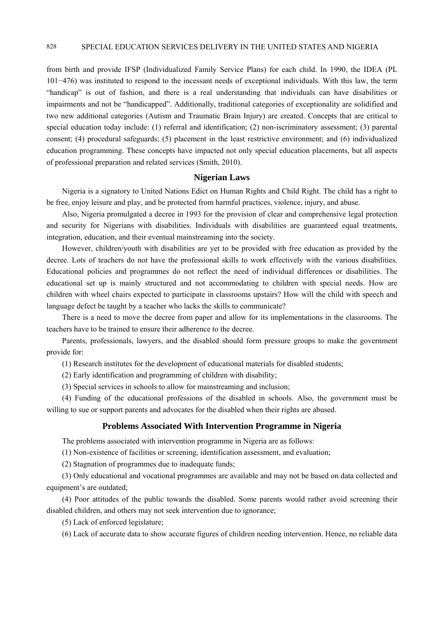# 828 SPECIAL EDUCATION SERVICES DELIVERY IN THE UNITED STATES AND NIGERIA

from birth and provide IFSP (Individualized Family Service Plans) for each child. In 1990, the IDEA (PL 101−476) was instituted to respond to the incessant needs of exceptional individuals. With this law, the term "handicap" is out of fashion, and there is a real understanding that individuals can have disabilities or impairments and not be "handicapped". Additionally, traditional categories of exceptionality are solidified and two new additional categories (Autism and Traumatic Brain Injury) are created. Concepts that are critical to special education today include: (1) referral and identification; (2) non-iscriminatory assessment; (3) parental consent; (4) procedural safeguards; (5) placement in the least restrictive environment; and (6) individualized education programming. These concepts have impacted not only special education placements, but all aspects of professional preparation and related services (Smith, 2010).

## **Nigerian Laws**

Nigeria is a signatory to United Nations Edict on Human Rights and Child Right. The child has a right to be free, enjoy leisure and play, and be protected from harmful practices, violence, injury, and abuse.

Also, Nigeria promulgated a decree in 1993 for the provision of clear and comprehensive legal protection and security for Nigerians with disabilities. Individuals with disabilities are guaranteed equal treatments, integration, education, and their eventual mainstreaming into the society.

However, children/youth with disabilities are yet to be provided with free education as provided by the decree. Lots of teachers do not have the professional skills to work effectively with the various disabilities. Educational policies and programmes do not reflect the need of individual differences or disabilities. The educational set up is mainly structured and not accommodating to children with special needs. How are children with wheel chairs expected to participate in classrooms upstairs? How will the child with speech and language defect be taught by a teacher who lacks the skills to communicate?

There is a need to move the decree from paper and allow for its implementations in the classrooms. The teachers have to be trained to ensure their adherence to the decree.

Parents, professionals, lawyers, and the disabled should form pressure groups to make the government provide for:

(1) Research institutes for the development of educational materials for disabled students;

(2) Early identification and programming of children with disability;

(3) Special services in schools to allow for mainstreaming and inclusion;

(4) Funding of the educational professions of the disabled in schools. Also, the government must be willing to sue or support parents and advocates for the disabled when their rights are abused.

### **Problems Associated With Intervention Programme in Nigeria**

The problems associated with intervention programme in Nigeria are as follows:

(1) Non-existence of facilities or screening, identification assessment, and evaluation;

(2) Stagnation of programmes due to inadequate funds;

(3) Only educational and vocational programmes are available and may not be based on data collected and equipment's are outdated;

(4) Poor attitudes of the public towards the disabled. Some parents would rather avoid screening their disabled children, and others may not seek intervention due to ignorance;

(5) Lack of enforced legislature;

(6) Lack of accurate data to show accurate figures of children needing intervention. Hence, no reliable data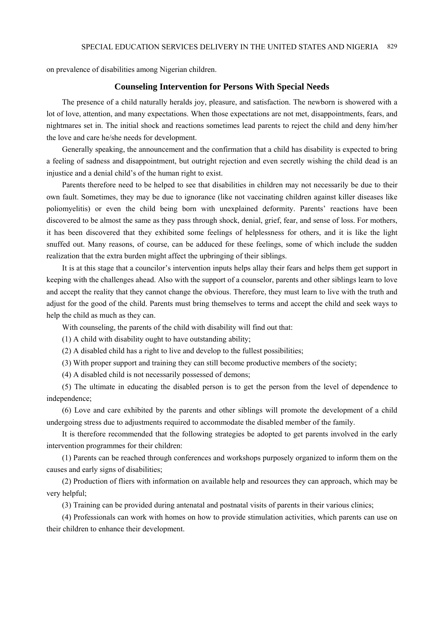on prevalence of disabilities among Nigerian children.

#### **Counseling Intervention for Persons With Special Needs**

The presence of a child naturally heralds joy, pleasure, and satisfaction. The newborn is showered with a lot of love, attention, and many expectations. When those expectations are not met, disappointments, fears, and nightmares set in. The initial shock and reactions sometimes lead parents to reject the child and deny him/her the love and care he/she needs for development.

Generally speaking, the announcement and the confirmation that a child has disability is expected to bring a feeling of sadness and disappointment, but outright rejection and even secretly wishing the child dead is an injustice and a denial child's of the human right to exist.

Parents therefore need to be helped to see that disabilities in children may not necessarily be due to their own fault. Sometimes, they may be due to ignorance (like not vaccinating children against killer diseases like poliomyelitis) or even the child being born with unexplained deformity. Parents' reactions have been discovered to be almost the same as they pass through shock, denial, grief, fear, and sense of loss. For mothers, it has been discovered that they exhibited some feelings of helplessness for others, and it is like the light snuffed out. Many reasons, of course, can be adduced for these feelings, some of which include the sudden realization that the extra burden might affect the upbringing of their siblings.

It is at this stage that a councilor's intervention inputs helps allay their fears and helps them get support in keeping with the challenges ahead. Also with the support of a counselor, parents and other siblings learn to love and accept the reality that they cannot change the obvious. Therefore, they must learn to live with the truth and adjust for the good of the child. Parents must bring themselves to terms and accept the child and seek ways to help the child as much as they can.

With counseling, the parents of the child with disability will find out that:

(1) A child with disability ought to have outstanding ability;

(2) A disabled child has a right to live and develop to the fullest possibilities;

(3) With proper support and training they can still become productive members of the society;

(4) A disabled child is not necessarily possessed of demons;

(5) The ultimate in educating the disabled person is to get the person from the level of dependence to independence;

(6) Love and care exhibited by the parents and other siblings will promote the development of a child undergoing stress due to adjustments required to accommodate the disabled member of the family.

It is therefore recommended that the following strategies be adopted to get parents involved in the early intervention programmes for their children:

(1) Parents can be reached through conferences and workshops purposely organized to inform them on the causes and early signs of disabilities;

(2) Production of fliers with information on available help and resources they can approach, which may be very helpful;

(3) Training can be provided during antenatal and postnatal visits of parents in their various clinics;

(4) Professionals can work with homes on how to provide stimulation activities, which parents can use on their children to enhance their development.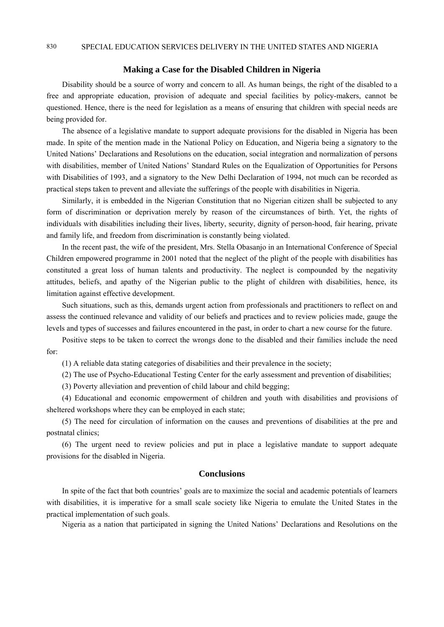## **Making a Case for the Disabled Children in Nigeria**

Disability should be a source of worry and concern to all. As human beings, the right of the disabled to a free and appropriate education, provision of adequate and special facilities by policy-makers, cannot be questioned. Hence, there is the need for legislation as a means of ensuring that children with special needs are being provided for.

The absence of a legislative mandate to support adequate provisions for the disabled in Nigeria has been made. In spite of the mention made in the National Policy on Education, and Nigeria being a signatory to the United Nations' Declarations and Resolutions on the education, social integration and normalization of persons with disabilities, member of United Nations' Standard Rules on the Equalization of Opportunities for Persons with Disabilities of 1993, and a signatory to the New Delhi Declaration of 1994, not much can be recorded as practical steps taken to prevent and alleviate the sufferings of the people with disabilities in Nigeria.

Similarly, it is embedded in the Nigerian Constitution that no Nigerian citizen shall be subjected to any form of discrimination or deprivation merely by reason of the circumstances of birth. Yet, the rights of individuals with disabilities including their lives, liberty, security, dignity of person-hood, fair hearing, private and family life, and freedom from discrimination is constantly being violated.

In the recent past, the wife of the president, Mrs. Stella Obasanjo in an International Conference of Special Children empowered programme in 2001 noted that the neglect of the plight of the people with disabilities has constituted a great loss of human talents and productivity. The neglect is compounded by the negativity attitudes, beliefs, and apathy of the Nigerian public to the plight of children with disabilities, hence, its limitation against effective development.

Such situations, such as this, demands urgent action from professionals and practitioners to reflect on and assess the continued relevance and validity of our beliefs and practices and to review policies made, gauge the levels and types of successes and failures encountered in the past, in order to chart a new course for the future.

Positive steps to be taken to correct the wrongs done to the disabled and their families include the need for:

(1) A reliable data stating categories of disabilities and their prevalence in the society;

(2) The use of Psycho-Educational Testing Center for the early assessment and prevention of disabilities;

(3) Poverty alleviation and prevention of child labour and child begging;

(4) Educational and economic empowerment of children and youth with disabilities and provisions of sheltered workshops where they can be employed in each state;

(5) The need for circulation of information on the causes and preventions of disabilities at the pre and postnatal clinics;

(6) The urgent need to review policies and put in place a legislative mandate to support adequate provisions for the disabled in Nigeria.

# **Conclusions**

In spite of the fact that both countries' goals are to maximize the social and academic potentials of learners with disabilities, it is imperative for a small scale society like Nigeria to emulate the United States in the practical implementation of such goals.

Nigeria as a nation that participated in signing the United Nations' Declarations and Resolutions on the